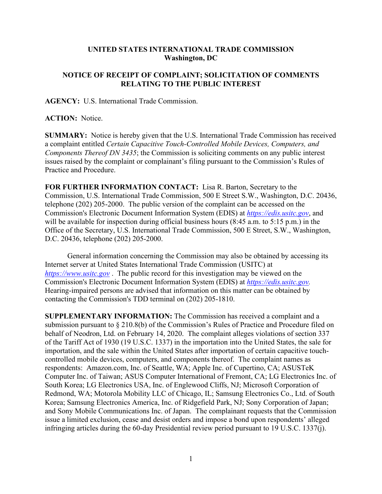## **UNITED STATES INTERNATIONAL TRADE COMMISSION Washington, DC**

## **NOTICE OF RECEIPT OF COMPLAINT; SOLICITATION OF COMMENTS RELATING TO THE PUBLIC INTEREST**

**AGENCY:** U.S. International Trade Commission.

**ACTION:** Notice.

**SUMMARY:** Notice is hereby given that the U.S. International Trade Commission has received a complaint entitled *Certain Capacitive Touch-Controlled Mobile Devices, Computers, and Components Thereof DN 3435*; the Commission is soliciting comments on any public interest issues raised by the complaint or complainant's filing pursuant to the Commission's Rules of Practice and Procedure.

**FOR FURTHER INFORMATION CONTACT:** Lisa R. Barton, Secretary to the Commission, U.S. International Trade Commission, 500 E Street S.W., Washington, D.C. 20436, telephone (202) 205-2000. The public version of the complaint can be accessed on the Commission's Electronic Document Information System (EDIS) at *[https://edis.usitc.gov](https://edis.usitc.gov/)*, and will be available for inspection during official business hours (8:45 a.m. to 5:15 p.m.) in the Office of the Secretary, U.S. International Trade Commission, 500 E Street, S.W., Washington, D.C. 20436, telephone (202) 205-2000.

General information concerning the Commission may also be obtained by accessing its Internet server at United States International Trade Commission (USITC) at *[https://www.usitc.gov](https://www.usitc.gov/)* . The public record for this investigation may be viewed on the Commission's Electronic Document Information System (EDIS) at *[https://edis.usitc.gov.](https://edis.usitc.gov/)* Hearing-impaired persons are advised that information on this matter can be obtained by contacting the Commission's TDD terminal on (202) 205-1810.

**SUPPLEMENTARY INFORMATION:** The Commission has received a complaint and a submission pursuant to § 210.8(b) of the Commission's Rules of Practice and Procedure filed on behalf of Neodron, Ltd. on February 14, 2020. The complaint alleges violations of section 337 of the Tariff Act of 1930 (19 U.S.C. 1337) in the importation into the United States, the sale for importation, and the sale within the United States after importation of certain capacitive touchcontrolled mobile devices, computers, and components thereof. The complaint names as respondents: Amazon.com, Inc. of Seattle, WA; Apple Inc. of Cupertino, CA; ASUSTeK Computer Inc. of Taiwan; ASUS Computer International of Fremont, CA; LG Electronics Inc. of South Korea; LG Electronics USA, Inc. of Englewood Cliffs, NJ; Microsoft Corporation of Redmond, WA; Motorola Mobility LLC of Chicago, IL; Samsung Electronics Co., Ltd. of South Korea; Samsung Electronics America, Inc. of Ridgefield Park, NJ; Sony Corporation of Japan; and Sony Mobile Communications Inc. of Japan. The complainant requests that the Commission issue a limited exclusion, cease and desist orders and impose a bond upon respondents' alleged infringing articles during the 60-day Presidential review period pursuant to 19 U.S.C. 1337(j).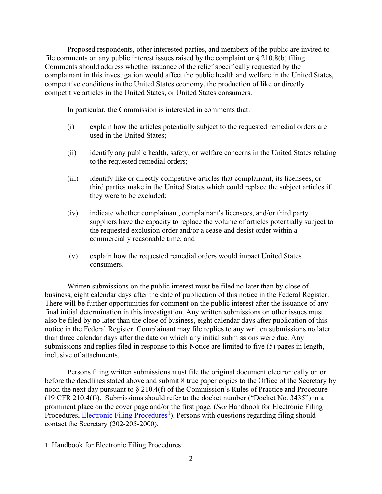Proposed respondents, other interested parties, and members of the public are invited to file comments on any public interest issues raised by the complaint or  $\S 210.8(b)$  filing. Comments should address whether issuance of the relief specifically requested by the complainant in this investigation would affect the public health and welfare in the United States, competitive conditions in the United States economy, the production of like or directly competitive articles in the United States, or United States consumers.

In particular, the Commission is interested in comments that:

- (i) explain how the articles potentially subject to the requested remedial orders are used in the United States;
- (ii) identify any public health, safety, or welfare concerns in the United States relating to the requested remedial orders;
- (iii) identify like or directly competitive articles that complainant, its licensees, or third parties make in the United States which could replace the subject articles if they were to be excluded;
- (iv) indicate whether complainant, complainant's licensees, and/or third party suppliers have the capacity to replace the volume of articles potentially subject to the requested exclusion order and/or a cease and desist order within a commercially reasonable time; and
- (v) explain how the requested remedial orders would impact United States consumers.

Written submissions on the public interest must be filed no later than by close of business, eight calendar days after the date of publication of this notice in the Federal Register. There will be further opportunities for comment on the public interest after the issuance of any final initial determination in this investigation. Any written submissions on other issues must also be filed by no later than the close of business, eight calendar days after publication of this notice in the Federal Register. Complainant may file replies to any written submissions no later than three calendar days after the date on which any initial submissions were due. Any submissions and replies filed in response to this Notice are limited to five (5) pages in length, inclusive of attachments.

Persons filing written submissions must file the original document electronically on or before the deadlines stated above and submit 8 true paper copies to the Office of the Secretary by noon the next day pursuant to § 210.4(f) of the Commission's Rules of Practice and Procedure (19 CFR 210.4(f)). Submissions should refer to the docket number ("Docket No. 3435") in a prominent place on the cover page and/or the first page. (*See* Handbook for Electronic Filing Procedures, **Electronic Filing Procedures**<sup>[1](#page-1-0)</sup>). Persons with questions regarding filing should contact the Secretary (202-205-2000).

<span id="page-1-0"></span><sup>1</sup> Handbook for Electronic Filing Procedures: